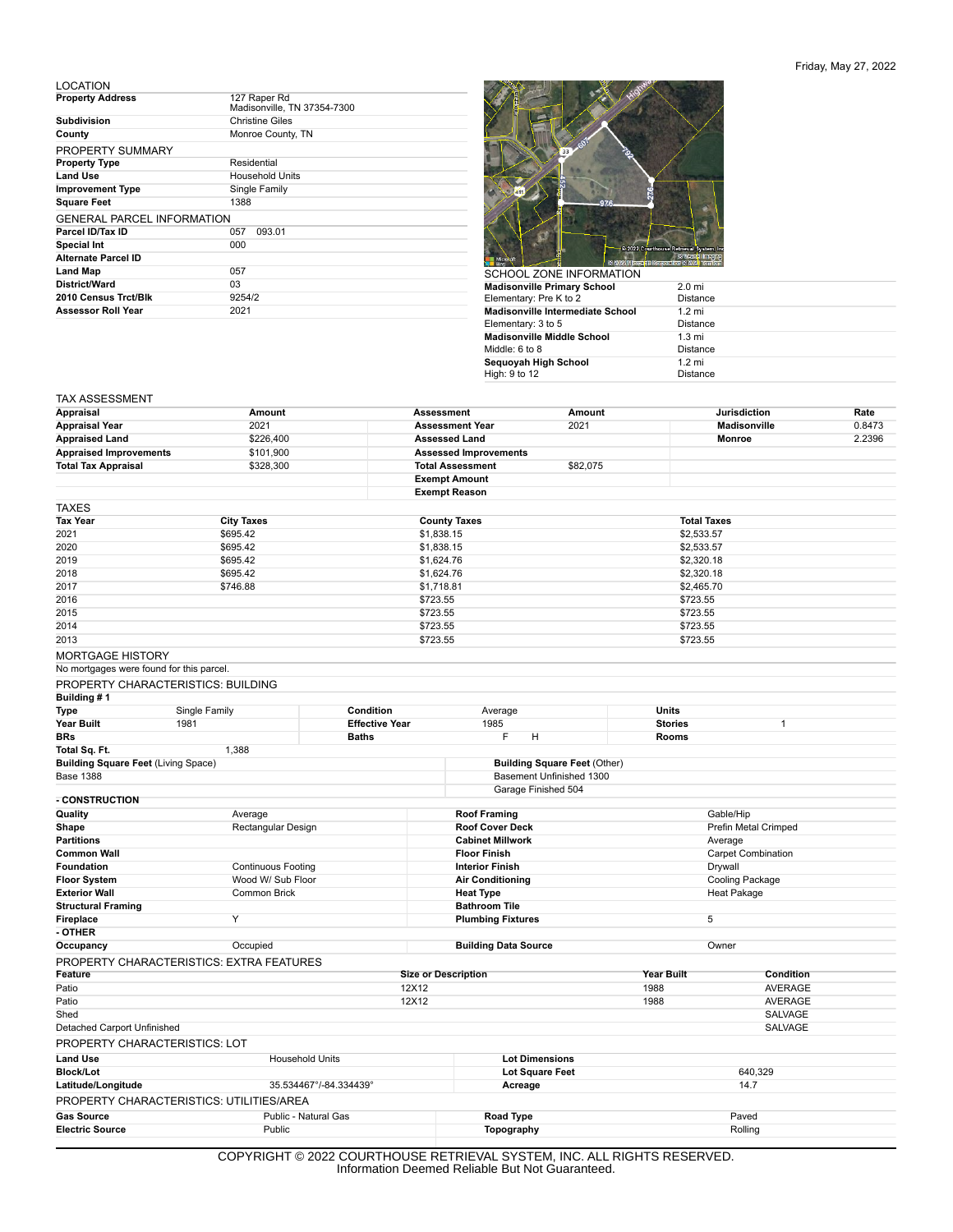## Friday, May 27, 2022

## LOCATION

| <b>Property Address</b>           | 127 Raper Rd<br>Madisonville, TN 37354-7300 |  |  |  |
|-----------------------------------|---------------------------------------------|--|--|--|
| <b>Subdivision</b>                | <b>Christine Giles</b>                      |  |  |  |
| County                            | Monroe County, TN                           |  |  |  |
| PROPERTY SUMMARY                  |                                             |  |  |  |
| <b>Property Type</b>              | Residential                                 |  |  |  |
| <b>Land Use</b>                   | <b>Household Units</b>                      |  |  |  |
| <b>Improvement Type</b>           | Single Family                               |  |  |  |
| <b>Square Feet</b>                | 1388                                        |  |  |  |
| <b>GENERAL PARCEL INFORMATION</b> |                                             |  |  |  |
| Parcel ID/Tax ID                  | 057<br>093.01                               |  |  |  |
| <b>Special Int</b>                | 000                                         |  |  |  |
| <b>Alternate Parcel ID</b>        |                                             |  |  |  |
| <b>Land Map</b>                   | 057                                         |  |  |  |
| District/Ward                     | 03                                          |  |  |  |
| 2010 Census Trct/Blk              | 9254/2                                      |  |  |  |
| <b>Assessor Roll Year</b>         | 2021                                        |  |  |  |



| <b>Madisonville Primary School</b>      | 2.0 <sub>mi</sub> |
|-----------------------------------------|-------------------|
| Elementary: Pre K to 2                  | <b>Distance</b>   |
| <b>Madisonville Intermediate School</b> | $1.2 \text{ mi}$  |
| Elementary: 3 to 5                      | <b>Distance</b>   |
| <b>Madisonville Middle School</b>       | $1.3 \text{ mi}$  |
| Middle: 6 to 8                          | <b>Distance</b>   |
| Sequoyah High School                    | $1.2 \text{ mi}$  |
| High: 9 to 12                           | <b>Distance</b>   |

## TAX ASSESSMENT

| <b>Appraisal</b>                                               | Amount                                                                             |                                                 | <b>Assessment</b>          |                                                                 | Amount                   |                 | <b>Jurisdiction</b>       | Rate   |  |
|----------------------------------------------------------------|------------------------------------------------------------------------------------|-------------------------------------------------|----------------------------|-----------------------------------------------------------------|--------------------------|-----------------|---------------------------|--------|--|
| <b>Appraisal Year</b>                                          | 2021                                                                               |                                                 |                            | <b>Assessment Year</b>                                          |                          |                 | Madisonville              | 0.8473 |  |
| <b>Appraised Land</b>                                          | \$226,400                                                                          |                                                 |                            | <b>Assessed Land</b>                                            |                          |                 | <b>Monroe</b>             | 2.2396 |  |
| <b>Appraised Improvements</b>                                  | \$101,900                                                                          |                                                 |                            | <b>Assessed Improvements</b>                                    |                          |                 |                           |        |  |
| <b>Total Tax Appraisal</b>                                     | \$328,300                                                                          |                                                 |                            | <b>Total Assessment</b>                                         | \$82,075                 |                 |                           |        |  |
|                                                                |                                                                                    |                                                 | <b>Exempt Amount</b>       |                                                                 |                          |                 |                           |        |  |
|                                                                |                                                                                    |                                                 | <b>Exempt Reason</b>       |                                                                 |                          |                 |                           |        |  |
| <b>TAXES</b>                                                   |                                                                                    |                                                 |                            |                                                                 |                          |                 |                           |        |  |
| <b>Tax Year</b>                                                | <b>City Taxes</b>                                                                  |                                                 | <b>County Taxes</b>        |                                                                 |                          |                 | <b>Total Taxes</b>        |        |  |
| 2021                                                           | \$695.42                                                                           |                                                 | \$1,838.15                 |                                                                 |                          | \$2,533.57      |                           |        |  |
| 2020                                                           |                                                                                    | \$695.42                                        |                            | \$1,838.15                                                      |                          | \$2,533.57      |                           |        |  |
| 2019                                                           |                                                                                    | \$695.42                                        |                            |                                                                 | \$1,624.76<br>\$1,624.76 |                 | \$2,320.18                |        |  |
| 2018                                                           |                                                                                    | \$695.42                                        |                            |                                                                 |                          | \$2,320.18      |                           |        |  |
| 2017                                                           | \$746.88                                                                           |                                                 | \$1,718.81                 |                                                                 |                          | \$2,465.70      |                           |        |  |
| 2016                                                           |                                                                                    |                                                 | \$723.55                   |                                                                 |                          |                 | \$723.55                  |        |  |
| 2015                                                           |                                                                                    |                                                 | \$723.55                   |                                                                 |                          |                 | \$723.55                  |        |  |
| 2014                                                           |                                                                                    |                                                 | \$723.55                   |                                                                 |                          | \$723.55        |                           |        |  |
| 2013                                                           |                                                                                    |                                                 | \$723.55                   |                                                                 |                          | \$723.55        |                           |        |  |
| <b>MORTGAGE HISTORY</b>                                        |                                                                                    |                                                 |                            |                                                                 |                          |                 |                           |        |  |
| No mortgages were found for this parcel.                       |                                                                                    |                                                 |                            |                                                                 |                          |                 |                           |        |  |
| PROPERTY CHARACTERISTICS: BUILDING                             |                                                                                    |                                                 |                            |                                                                 |                          |                 |                           |        |  |
| Building #1                                                    |                                                                                    | Condition                                       |                            |                                                                 |                          |                 |                           |        |  |
| Type                                                           | Single Family                                                                      |                                                 |                            | Average                                                         |                          | <b>Units</b>    |                           |        |  |
| Year Built<br><b>BRs</b>                                       | 1981                                                                               | <b>Effective Year</b><br><b>Baths</b>           |                            | 1985                                                            |                          | <b>Stories</b>  | 1                         |        |  |
| Total Sq. Ft.                                                  | 1,388                                                                              |                                                 |                            | F                                                               | н                        | Rooms           |                           |        |  |
|                                                                |                                                                                    |                                                 |                            |                                                                 |                          |                 |                           |        |  |
| <b>Building Square Feet (Living Space)</b><br><b>Base 1388</b> |                                                                                    |                                                 |                            | <b>Building Square Feet (Other)</b><br>Basement Unfinished 1300 |                          |                 |                           |        |  |
|                                                                |                                                                                    |                                                 |                            | Garage Finished 504                                             |                          |                 |                           |        |  |
| - CONSTRUCTION                                                 |                                                                                    |                                                 |                            |                                                                 |                          |                 |                           |        |  |
| Quality                                                        | Average                                                                            |                                                 |                            | <b>Roof Framing</b>                                             |                          |                 | Gable/Hip                 |        |  |
| Shape                                                          |                                                                                    | Rectangular Design                              |                            | <b>Roof Cover Deck</b>                                          |                          |                 | Prefin Metal Crimped      |        |  |
| <b>Partitions</b>                                              |                                                                                    |                                                 |                            | <b>Cabinet Millwork</b>                                         |                          | Average         |                           |        |  |
| <b>Common Wall</b>                                             |                                                                                    |                                                 |                            | <b>Floor Finish</b>                                             |                          |                 | <b>Carpet Combination</b> |        |  |
| <b>Foundation</b>                                              | <b>Continuous Footing</b>                                                          |                                                 |                            | <b>Interior Finish</b>                                          |                          |                 | Drywall                   |        |  |
| <b>Floor System</b>                                            | Wood W/ Sub Floor                                                                  |                                                 |                            | <b>Air Conditioning</b>                                         |                          | Cooling Package |                           |        |  |
| <b>Exterior Wall</b>                                           |                                                                                    | Common Brick                                    |                            | <b>Heat Type</b>                                                |                          | Heat Pakage     |                           |        |  |
| <b>Structural Framing</b>                                      |                                                                                    |                                                 |                            | <b>Bathroom Tile</b>                                            |                          |                 |                           |        |  |
| Fireplace                                                      | Υ                                                                                  |                                                 |                            | <b>Plumbing Fixtures</b>                                        |                          | 5               |                           |        |  |
| - OTHER                                                        |                                                                                    |                                                 |                            |                                                                 |                          |                 |                           |        |  |
| Occupancy                                                      | Occupied                                                                           |                                                 |                            | <b>Building Data Source</b>                                     |                          | Owner           |                           |        |  |
|                                                                | <b>PROPERTY CHARACTERISTICS: EXTRA FEATURES</b>                                    |                                                 |                            |                                                                 |                          |                 |                           |        |  |
| Feature                                                        |                                                                                    |                                                 | <b>Size or Description</b> |                                                                 |                          | Year Built      | Condition                 |        |  |
| Patio                                                          |                                                                                    |                                                 | 12X12                      |                                                                 |                          | 1988            | <b>AVERAGE</b>            |        |  |
| Patio                                                          |                                                                                    |                                                 | 12X12                      |                                                                 |                          | 1988            | <b>AVERAGE</b>            |        |  |
| Shed                                                           |                                                                                    |                                                 |                            |                                                                 |                          |                 | <b>SALVAGE</b>            |        |  |
| Detached Carport Unfinished                                    |                                                                                    |                                                 |                            |                                                                 |                          |                 | SALVAGE                   |        |  |
| PROPERTY CHARACTERISTICS: LOT                                  |                                                                                    |                                                 |                            |                                                                 |                          |                 |                           |        |  |
| <b>Land Use</b>                                                |                                                                                    | <b>Household Units</b><br><b>Lot Dimensions</b> |                            |                                                                 |                          |                 |                           |        |  |
| <b>Block/Lot</b>                                               |                                                                                    |                                                 |                            |                                                                 | Lot Square Feet          |                 | 640,329                   |        |  |
| Latitude/Longitude                                             |                                                                                    | 35.534467°/-84.334439°                          |                            | Acreage                                                         |                          |                 | 14.7                      |        |  |
|                                                                | PROPERTY CHARACTERISTICS: UTILITIES/AREA                                           |                                                 |                            |                                                                 |                          |                 |                           |        |  |
| <b>Gas Source</b>                                              | Public - Natural Gas                                                               |                                                 |                            | <b>Road Type</b>                                                |                          |                 | Paved                     |        |  |
| <b>Electric Source</b>                                         | Public                                                                             |                                                 |                            | Topography                                                      |                          |                 | Rolling                   |        |  |
|                                                                | $0.051/51/0117$ $0.0000$ $0.011571101105$ $0.0775151/11$ $0.007511$ $0.100$ $0.11$ |                                                 |                            |                                                                 |                          | DIOUTO DESEDUED |                           |        |  |

COPYRIGHT © 2022 COURTHOUSE RETRIEVAL SYSTEM, INC. ALL RIGHTS RESERVED. Information Deemed Reliable But Not Guaranteed.